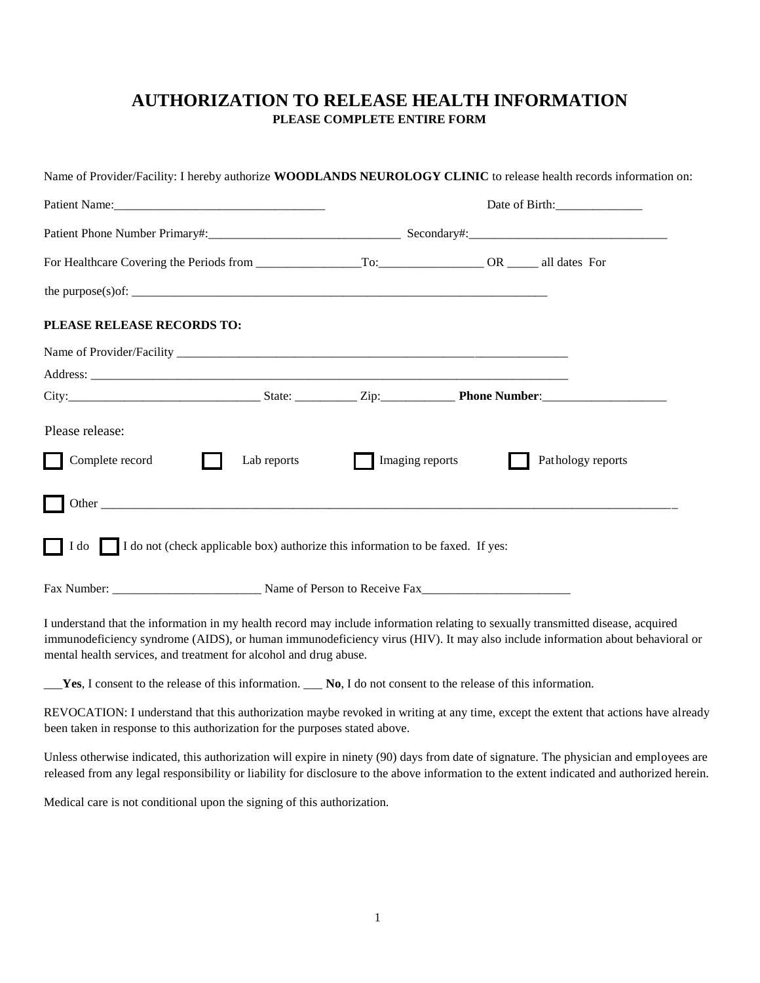## **AUTHORIZATION TO RELEASE HEALTH INFORMATION PLEASE COMPLETE ENTIRE FORM**

|                                                                                      |             |                |                 | Name of Provider/Facility: I hereby authorize WOODLANDS NEUROLOGY CLINIC to release health records information on: |
|--------------------------------------------------------------------------------------|-------------|----------------|-----------------|--------------------------------------------------------------------------------------------------------------------|
|                                                                                      |             | Date of Birth: |                 |                                                                                                                    |
|                                                                                      |             |                |                 |                                                                                                                    |
|                                                                                      |             |                |                 |                                                                                                                    |
| PLEASE RELEASE RECORDS TO:                                                           |             |                |                 |                                                                                                                    |
|                                                                                      |             |                |                 |                                                                                                                    |
|                                                                                      |             |                |                 |                                                                                                                    |
|                                                                                      |             |                |                 |                                                                                                                    |
| Please release:                                                                      |             |                |                 |                                                                                                                    |
| Complete record                                                                      | Lab reports |                | Imaging reports | Pathology reports                                                                                                  |
|                                                                                      |             |                |                 |                                                                                                                    |
| I do I do not (check applicable box) authorize this information to be faxed. If yes: |             |                |                 |                                                                                                                    |
|                                                                                      |             |                |                 |                                                                                                                    |

I understand that the information in my health record may include information relating to sexually transmitted disease, acquired immunodeficiency syndrome (AIDS), or human immunodeficiency virus (HIV). It may also include information about behavioral or mental health services, and treatment for alcohol and drug abuse.

\_\_\_**Yes**, I consent to the release of this information. \_\_\_ **No**, I do not consent to the release of this information.

REVOCATION: I understand that this authorization maybe revoked in writing at any time, except the extent that actions have already been taken in response to this authorization for the purposes stated above.

Unless otherwise indicated, this authorization will expire in ninety (90) days from date of signature. The physician and employees are released from any legal responsibility or liability for disclosure to the above information to the extent indicated and authorized herein.

Medical care is not conditional upon the signing of this authorization.